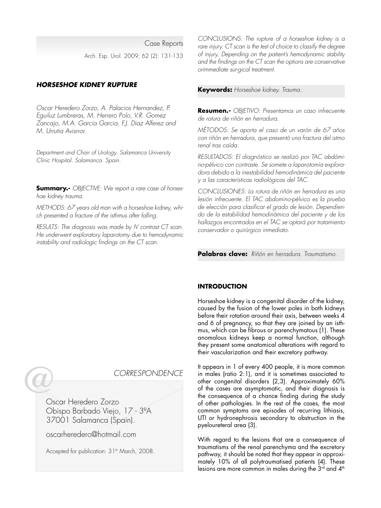Case Reports Arch. Esp. Urol. 2009; 62 (2): 131-133

# **HORSESHOE KIDNEY RUPTURE**

Oscar Heredero Zorzo, A. Palacios Hernandez, P. Eguiluz Lumbreras, M. Herrero Polo, V.R. Gomez Zancajo, M.A. Garcia Garcia, F.J. Diaz Alferez and M. Urrutia Avisrror.

Department and Chair of Urology. Salamanca University Clinic Hospital. Salamanca. Spain.

**Summary.-** OBJECTIVE: We report a rare case of horseshoe kidney trauma.

METHODS: 67 years old man with a horseshoe kidney, which presented a fracture of the isthmus after falling.

RESULTS: The diagnosis was made by IV contrast CT scan. He underwent exploratory laparotomy due to hemodynamic instability and radiologic findings on the CT scan.

CONCLUSIONS: The rupture of a horseshoe kidney is a rare injury. CT scan is the test of choice to classify the degree of injury. Depending on the patient's hemodynamic stability and the findings on the CT scan the options are conservative orimmediate sur-gical treatment.

**Keywords:** Horseshoe kidney. Trauma.

**Resumen.-** OBJETIVO: Presentamos un caso infrecuente de rotura de riñón en herradura.

MÉTODOS: Se aporta el caso de un varón de 67 años con riñón en herradura, que presentó una fractura del istmo renal tras caída.

RESULTADOS: El diagnóstico se realizó por TAC abdómino-pélvico con contraste. Se somete a laparotomía exploradora debido a la inestabilidad hemodinámica del paciente y a las características radiológicas del TAC.

CONCLUSIONES: La rotura de riñón en herradura es una lesión infrecuente. El TAC abdomino-pélvico es la prueba de elección para clasificar el grado de lesión. Dependiendo de la estabilidad hemodinámica del paciente y de los hallazgos encontrados en el TAC se optará por tratamiento conservador o quirúrgico inmediato.

**Palabras clave:** Riñón en herradura. Traumatismo.

## **INTRODUCTION**

Horseshoe kidney is a congenital disorder of the kidney, caused by the fusion of the lower poles in both kidneys before their rotation around their axis, between weeks 4 and 6 of pregnancy, so that they are joined by an isthmus, which can be fibrous or parenchymatous (1). These anomalous kidneys keep a normal function, although they present some anatomical alterations with regard to their vascularization and their excretory pathway.

It appears in 1 of every 400 people, it is more common in males (ratio 2:1), and it is sometimes associated to other congenital disorders (2,3). Approximately 60% of the cases are asymptomatic, and their diagnosis is the consequence of a chance finding during the study of other pathologies. In the rest of the cases, the most common symptoms are episodes of recurring lithiasis, UTI or hydronephrosis secondary to obstruction in the pyeloureteral area (3).

With regard to the lesions that are a consequence of traumatisms of the renal parenchyma and the excretory pathway, it should be noted that they appear in approximately 10% of all polytraumatised patients (4). These lesions are more common in males during the  $3<sup>rd</sup>$  and  $4<sup>th</sup>$ 



Oscar Heredero Zorzo Obispo Barbado Viejo, 17 - 3ºA 37001 Salamanca (Spain).

oscarheredero@hotmail.com

Accepted for publication: 31<sup>th</sup> March, 2008.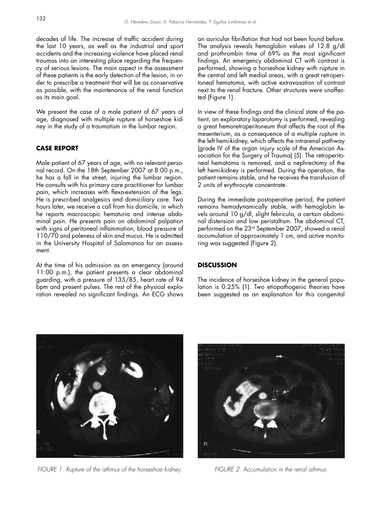decades of life. The increase of traffic accident during the last 10 years, as well as the industrial and sport accidents and the increasing violence have placed renal traumas into an interesting place regarding the frequency of serious lesions. The main aspect in the assessment of these patients is the early detection of the lesion, in order to prescribe a treatment that will be as conservative as possible, with the maintenance of the renal function as its main goal.

We present the case of a male patient of 67 years of age, diagnosed with multiple rupture of horseshoe kidney in the study of a traumatism in the lumbar region.

## **CASE REPORT**

Male patient of 67 years of age, with no relevant personal record. On the 18th September 2007 at 8:00 p.m., he has a fall in the street, injuring the lumbar region. He consults with his primary care practitioner for lumbar pain, which increases with flexo-extension of the legs. He is prescribed analgesics and domiciliary care. Two hours later, we receive a call from his domicile, in which he reports macroscopic hematuria and intense abdominal pain. He presents pain on abdominal palpation with signs of peritoneal inflammation, blood pressure of 110/70 and paleness of skin and mucus. He is admitted in the University Hospital of Salamanca for an assessment.

At the time of his admission as an emergency (around 11:00 p.m.), the patient presents a clear abdominal guarding, with a pressure of 135/85, heart rate of 94 bpm and present pulses. The rest of the physical exploration revealed no significant findings. An ECG shows an auricular fibrillation that had not been found before. The analysis reveals hemoglobin values of 12.8 g/dl and prothrombin time of 69% as the most significant findings. An emergency abdominal CT with contrast is performed, showing a horseshoe kidney with rupture in the central and left medial areas, with a great retroperitoneal hematoma, with active extravasation of contrast next to the renal fracture. Other structures were unaffected (Figure 1).

In view of these findings and the clinical state of the patient, an exploratory laparotomy is performed, revealing a great hemoretroperitoneum that affects the root of the mesenterium, as a consequence of a multiple rupture in the left hemi-kidney, which affects the intrarenal pathway (grade IV of the organ injury scale of the American Association for the Surgery of Trauma) (5). The retroperitoneal hematoma is removed, and a nephrectomy of the left hemi-kidney is performed. During the operation, the patient remains stable, and he receives the transfusion of 2 units of erythrocyte concentrate.

During the immediate postoperative period, the patient remains hemodynamically stable, with hemoglobin levels around 10 g/dl, slight febricula, a certain abdominal distension and low peristaltism. The abdominal CT, performed on the 23rd September 2007, showed a renal accumulation of approximately 1 cm, and active monitoring was suggested (Figure 2).

### **DISCUSSION**

The incidence of horseshoe kidney in the general population is 0.25% (1). Two etiopathogenic theories have been suggested as an explanation for this congenital



FIGURE 1. Rupture of the isthmus of the horseshoe kidney. FIGURE 2. Accumulation in the renal isthmus.